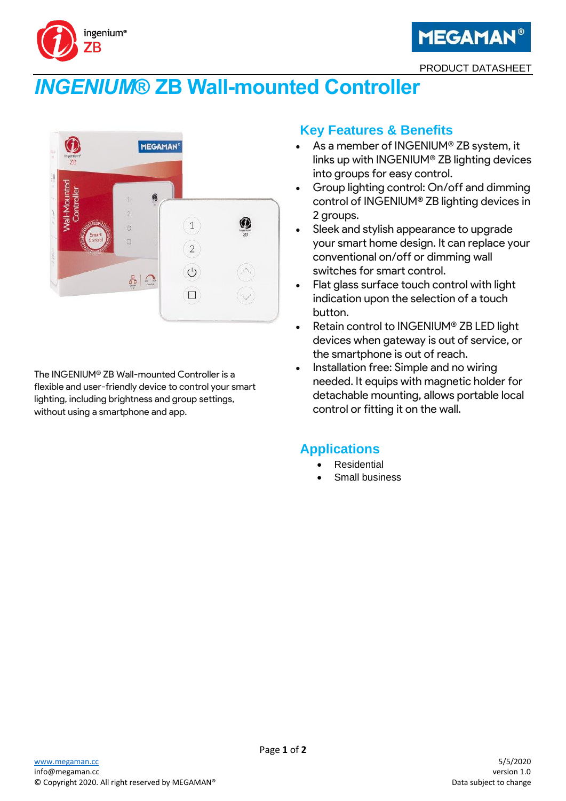



PRODUCT DATASHEET

# *INGENIUM***® ZB Wall-mounted Controller**



The INGENIUM® ZB Wall-mounted Controller is a flexible and user-friendly device to control your smart lighting, including brightness and group settings, without using a smartphone and app.

### **Key Features & Benefits**

- As a member of INGENIUM® ZB system, it links up with INGENIUM® ZB lighting devices into groups for easy control.
- Group lighting control: On/off and dimming control of INGENIUM® ZB lighting devices in 2 groups.
- Sleek and stylish appearance to upgrade your smart home design. It can replace your conventional on/off or dimming wall switches for smart control.
- Flat glass surface touch control with light indication upon the selection of a touch button.
- Retain control to INGENIUM® ZB LED light devices when gateway is out of service, or the smartphone is out of reach.
- Installation free: Simple and no wiring needed. It equips with magnetic holder for detachable mounting, allows portable local control or fitting it on the wall.

#### **Applications**

- **Residential**
- Small business